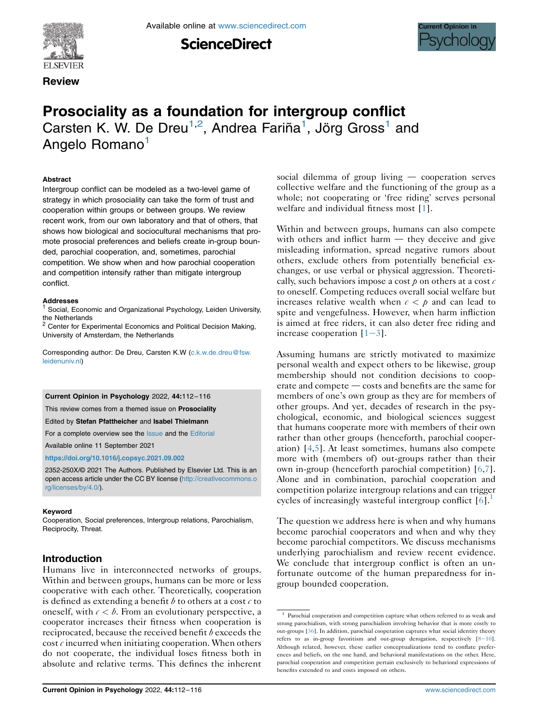

**Review** 

Available online at [www.sciencedirect.com](www.sciencedirect.com/science/journal/2352250X)





# Prosociality as a foundation for intergroup conflict Carsten K. W. De Dreu<sup>[1](#page-0-0),[2](#page-0-1)</sup>, Andrea Fariña<sup>1</sup>, Jörg Gross<sup>1</sup> and Angelo Romano<sup>[1](#page-0-0)</sup>

#### **Abstract**

Intergroup conflict can be modeled as a two-level game of strategy in which prosociality can take the form of trust and cooperation within groups or between groups. We review recent work, from our own laboratory and that of others, that shows how biological and sociocultural mechanisms that promote prosocial preferences and beliefs create in-group bounded, parochial cooperation, and, sometimes, parochial competition. We show when and how parochial cooperation and competition intensify rather than mitigate intergroup conflict.

#### Addresses

<span id="page-0-0"></span>Social, Economic and Organizational Psychology, Leiden University, the Netherlands

<span id="page-0-1"></span><sup>2</sup> Center for Experimental Economics and Political Decision Making, University of Amsterdam, the Netherlands

Corresponding author: De Dreu, Carsten K.W ([c.k.w.de.dreu@fsw.](mailto:c.k.w.de.dreu@fsw.leidenuniv.nl) [leidenuniv.nl](mailto:c.k.w.de.dreu@fsw.leidenuniv.nl))

#### Current Opinion in Psychology 2022, 44:112–116

This review comes from a themed issue on **Prosociality** 

Edited by Stefan Pfattheicher and Isabel Thielmann

For a complete overview see the [Issue](http://www.sciencedirect.com/science/journal/18796257/vol/issue) and the [Editorial](https://doi.org/10.1016/j.copsyc.2021.09.002)

Available online 11 September 2021

#### <https://doi.org/10.1016/j.copsyc.2021.09.002>

2352-250X/© 2021 The Authors. Published by Elsevier Ltd. This is an open access article under the CC BY license ([http://creativecommons.o](http://creativecommons.org/licenses/by/4.0/) [rg/licenses/by/4.0/](http://creativecommons.org/licenses/by/4.0/)).

#### Keyword

Cooperation, Social preferences, Intergroup relations, Parochialism, Reciprocity, Threat.

## Introduction

Humans live in interconnected networks of groups. Within and between groups, humans can be more or less cooperative with each other. Theoretically, cooperation is defined as extending a benefit b to others at a cost  $c$  to oneself, with  $c < b$ . From an evolutionary perspective, a cooperator increases their fitness when cooperation is reciprocated, because the received benefit  $b$  exceeds the cost  $c$  incurred when initiating cooperation. When others do not cooperate, the individual loses fitness both in absolute and relative terms. This defines the inherent social dilemma of group living  $-$  cooperation serves collective welfare and the functioning of the group as a whole; not cooperating or 'free riding' serves personal welfare and individual fitness most [\[1](#page-3-0)].

Within and between groups, humans can also compete with others and inflict harm  $-$  they deceive and give misleading information, spread negative rumors about others, exclude others from potentially beneficial exchanges, or use verbal or physical aggression. Theoretically, such behaviors impose a cost  $\rho$  on others at a cost  $c$ to oneself. Competing reduces overall social welfare but increases relative wealth when  $c < p$  and can lead to spite and vengefulness. However, when harm infliction is aimed at free riders, it can also deter free riding and increase cooperation  $[1-3]$  $[1-3]$  $[1-3]$  $[1-3]$ .

Assuming humans are strictly motivated to maximize personal wealth and expect others to be likewise, group membership should not condition decisions to cooperate and compete - costs and benefits are the same for members of one's own group as they are for members of other groups. And yet, decades of research in the psychological, economic, and biological sciences suggest that humans cooperate more with members of their own rather than other groups (henceforth, parochial cooperation) [\[4,](#page-3-1)[5](#page-3-2)]. At least sometimes, humans also compete more with (members of) out-groups rather than their own in-group (henceforth parochial competition) [\[6,](#page-3-3)[7](#page-3-4)]. Alone and in combination, parochial cooperation and competition polarize intergroup relations and can trigger cycles of increasingly wasteful intergroup conflict  $[6]$  $[6]$ .

The question we address here is when and why humans become parochial cooperators and when and why they become parochial competitors. We discuss mechanisms underlying parochialism and review recent evidence. We conclude that intergroup conflict is often an unfortunate outcome of the human preparedness for ingroup bounded cooperation.

<span id="page-0-2"></span><sup>&</sup>lt;sup>1</sup> Parochial cooperation and competition capture what others referred to as weak and strong parochialism, with strong parochialism involving behavior that is more costly to out-groups [\[36\]](#page-4-0). In addition, parochial cooperation captures what social identity theory refers to as in-group favoritism and out-group derogation, respectively  $[8-10]$  $[8-10]$  $[8-10]$  $[8-10]$ . Although related, however, these earlier conceptualizations tend to conflate preferences and beliefs, on the one hand, and behavioral manifestations on the other. Here, parochial cooperation and competition pertain exclusively to behavioral expressions of benefits extended to and costs imposed on others.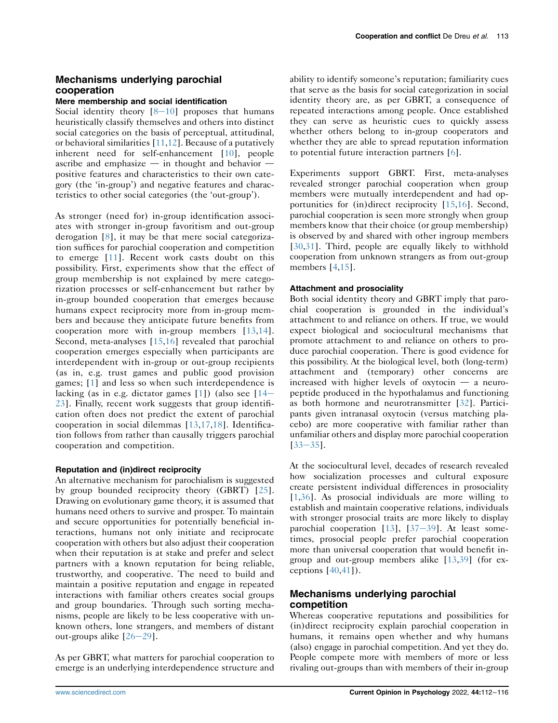# Mechanisms underlying parochial cooperation

## Mere membership and social identification

Social identity theory  $[8-10]$  $[8-10]$  $[8-10]$  proposes that humans heuristically classify themselves and others into distinct social categories on the basis of perceptual, attitudinal, or behavioral similarities [\[11](#page-3-6)[,12](#page-3-7)]. Because of a putatively inherent need for self-enhancement [[10\]](#page-3-8), people ascribe and emphasize  $-$  in thought and behavior  $\cdot$ positive features and characteristics to their own category (the 'in-group') and negative features and characteristics to other social categories (the 'out-group').

As stronger (need for) in-group identification associates with stronger in-group favoritism and out-group derogation [\[8\]](#page-3-5), it may be that mere social categorization suffices for parochial cooperation and competition to emerge [[11\]](#page-3-6). Recent work casts doubt on this possibility. First, experiments show that the effect of group membership is not explained by mere categorization processes or self-enhancement but rather by in-group bounded cooperation that emerges because humans expect reciprocity more from in-group members and because they anticipate future benefits from cooperation more with in-group members [[13](#page-3-9),[14](#page-3-10)]. Second, meta-analyses [\[15,](#page-3-11)[16](#page-3-12)] revealed that parochial cooperation emerges especially when participants are interdependent with in-group or out-group recipients (as in, e.g. trust games and public good provision games; [[1](#page-3-0)] and less so when such interdependence is lacking (as in e.g. dictator games  $[1]$  $[1]$  $[1]$ ) (also see  $[14 [14 [14-$ [23](#page-3-10)]. Finally, recent work suggests that group identification often does not predict the extent of parochial cooperation in social dilemmas [\[13](#page-3-9)[,17](#page-3-13),[18](#page-3-14)]. Identification follows from rather than causally triggers parochial cooperation and competition.

### Reputation and (in)direct reciprocity

An alternative mechanism for parochialism is suggested by group bounded reciprocity theory (GBRT) [[25](#page-4-1)]. Drawing on evolutionary game theory, it is assumed that humans need others to survive and prosper. To maintain and secure opportunities for potentially beneficial interactions, humans not only initiate and reciprocate cooperation with others but also adjust their cooperation when their reputation is at stake and prefer and select partners with a known reputation for being reliable, trustworthy, and cooperative. The need to build and maintain a positive reputation and engage in repeated interactions with familiar others creates social groups and group boundaries. Through such sorting mechanisms, people are likely to be less cooperative with unknown others, lone strangers, and members of distant out-groups alike  $[26-29]$  $[26-29]$  $[26-29]$ .

As per GBRT, what matters for parochial cooperation to emerge is an underlying interdependence structure and

ability to identify someone's reputation; familiarity cues that serve as the basis for social categorization in social identity theory are, as per GBRT, a consequence of repeated interactions among people. Once established they can serve as heuristic cues to quickly assess whether others belong to in-group cooperators and whether they are able to spread reputation information to potential future interaction partners [[6](#page-3-3)].

Experiments support GBRT. First, meta-analyses revealed stronger parochial cooperation when group members were mutually interdependent and had opportunities for (in)direct reciprocity [\[15,](#page-3-11)[16\]](#page-3-12). Second, parochial cooperation is seen more strongly when group members know that their choice (or group membership) is observed by and shared with other ingroup members [\[30](#page-4-3)[,31\]](#page-4-4). Third, people are equally likely to withhold cooperation from unknown strangers as from out-group members [\[4,](#page-3-1)[15\]](#page-3-11).

## Attachment and prosociality

Both social identity theory and GBRT imply that parochial cooperation is grounded in the individual's attachment to and reliance on others. If true, we would expect biological and sociocultural mechanisms that promote attachment to and reliance on others to produce parochial cooperation. There is good evidence for this possibility. At the biological level, both (long-term) attachment and (temporary) other concerns are increased with higher levels of oxytocin  $-$  a neuropeptide produced in the hypothalamus and functioning as both hormone and neurotransmitter [[32](#page-4-5)]. Participants given intranasal oxytocin (versus matching placebo) are more cooperative with familiar rather than unfamiliar others and display more parochial cooperation  $[33 - 35]$  $[33 - 35]$  $[33 - 35]$ .

At the sociocultural level, decades of research revealed how socialization processes and cultural exposure create persistent individual differences in prosociality [\[1,](#page-3-0)[36\]](#page-4-0). As prosocial individuals are more willing to establish and maintain cooperative relations, individuals with stronger prosocial traits are more likely to display parochial cooperation  $[13]$  $[13]$  $[13]$ ,  $[37-39]$  $[37-39]$  $[37-39]$ . At least sometimes, prosocial people prefer parochial cooperation more than universal cooperation that would benefit ingroup and out-group members alike [\[13,](#page-3-9)[39\]](#page-4-8) (for exceptions  $[40, 41]$  $[40, 41]$  $[40, 41]$  $[40, 41]$  $[40, 41]$ .

# Mechanisms underlying parochial competition

Whereas cooperative reputations and possibilities for (in)direct reciprocity explain parochial cooperation in humans, it remains open whether and why humans (also) engage in parochial competition. And yet they do. People compete more with members of more or less rivaling out-groups than with members of their in-group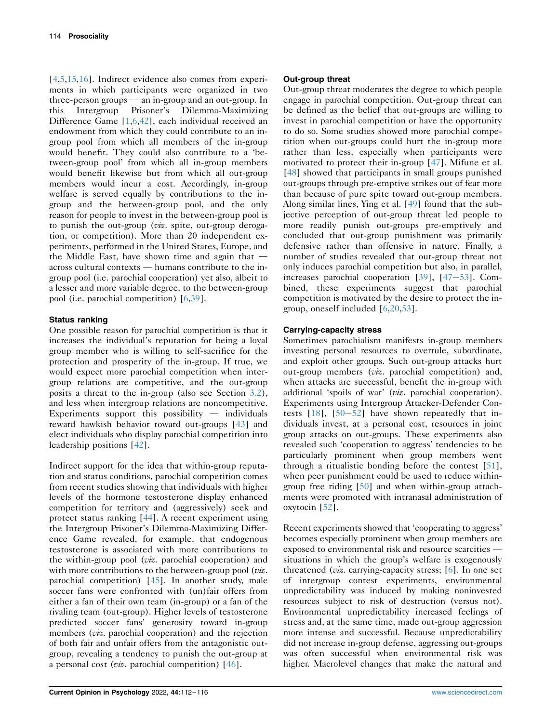[\[4](#page-3-1),[5](#page-3-2),[15,](#page-3-11)[16\]](#page-3-12). Indirect evidence also comes from experiments in which participants were organized in two three-person groups  $-$  an in-group and an out-group. In this Intergroup Prisoner's Dilemma-Maximizing Difference Game [[1](#page-3-0)[,6,](#page-3-3)[42\]](#page-4-11), each individual received an endowment from which they could contribute to an ingroup pool from which all members of the in-group would benefit. They could also contribute to a 'between-group pool' from which all in-group members would benefit likewise but from which all out-group members would incur a cost. Accordingly, in-group welfare is served equally by contributions to the ingroup and the between-group pool, and the only reason for people to invest in the between-group pool is to punish the out-group (viz. spite, out-group derogation, or competition). More than 20 independent experiments, performed in the United States, Europe, and the Middle East, have shown time and again that  $$  $across$  cultural contexts  $-$  humans contribute to the ingroup pool (i.e. parochial cooperation) yet also, albeit to a lesser and more variable degree, to the between-group pool (i.e. parochial competition) [[6](#page-3-3)[,39\]](#page-4-8).

### Status ranking

One possible reason for parochial competition is that it increases the individual's reputation for being a loyal group member who is willing to self-sacrifice for the protection and prosperity of the in-group. If true, we would expect more parochial competition when intergroup relations are competitive, and the out-group posits a threat to the in-group (also see Section [3.2](#page-2-0)), and less when intergroup relations are noncompetitive. Experiments support this possibility  $-$  individuals reward hawkish behavior toward out-groups [[43](#page-4-12)] and elect individuals who display parochial competition into leadership positions [\[42\]](#page-4-11).

Indirect support for the idea that within-group reputation and status conditions, parochial competition comes from recent studies showing that individuals with higher levels of the hormone testosterone display enhanced competition for territory and (aggressively) seek and protect status ranking [\[44\]](#page-4-13). A recent experiment using the Intergroup Prisoner's Dilemma-Maximizing Difference Game revealed, for example, that endogenous testosterone is associated with more contributions to the within-group pool (viz. parochial cooperation) and with more contributions to the between-group pool (viz. parochial competition) [\[45\]](#page-4-14). In another study, male soccer fans were confronted with (un)fair offers from either a fan of their own team (in-group) or a fan of the rivaling team (out-group). Higher levels of testosterone predicted soccer fans' generosity toward in-group members (*viz.* parochial cooperation) and the rejection of both fair and unfair offers from the antagonistic outgroup, revealing a tendency to punish the out-group at a personal cost (*viz*. parochial competition)  $[46]$  $[46]$ .

## <span id="page-2-0"></span>Out-group threat

Out-group threat moderates the degree to which people engage in parochial competition. Out-group threat can be defined as the belief that out-groups are willing to invest in parochial competition or have the opportunity to do so. Some studies showed more parochial competition when out-groups could hurt the in-group more rather than less, especially when participants were motivated to protect their in-group [\[47\]](#page-4-16). Mifune et al. [\[48\]](#page-4-17) showed that participants in small groups punished out-groups through pre-emptive strikes out of fear more than because of pure spite toward out-group members. Along similar lines, Ying et al. [[49](#page-4-18)] found that the subjective perception of out-group threat led people to more readily punish out-groups pre-emptively and concluded that out-group punishment was primarily defensive rather than offensive in nature. Finally, a number of studies revealed that out-group threat not only induces parochial competition but also, in parallel, increases parochial cooperation  $[39]$  $[39]$  $[39]$ ,  $[47-53]$  $[47-53]$  $[47-53]$ . Combined, these experiments suggest that parochial competition is motivated by the desire to protect the ingroup, oneself included [\[6,](#page-3-3)[20,](#page-3-15)[53\]](#page-4-19).

## Carrying-capacity stress

Sometimes parochialism manifests in-group members investing personal resources to overrule, subordinate, and exploit other groups. Such out-group attacks hurt out-group members (viz. parochial competition) and, when attacks are successful, benefit the in-group with additional 'spoils of war' (viz. parochial cooperation). Experiments using Intergroup Attacker-Defender Contests  $[18]$  $[18]$ ,  $[50-52]$  $[50-52]$  $[50-52]$  have shown repeatedly that individuals invest, at a personal cost, resources in joint group attacks on out-groups. These experiments also revealed such 'cooperation to aggress' tendencies to be particularly prominent when group members went through a ritualistic bonding before the contest [\[51\]](#page-4-21), when peer punishment could be used to reduce withingroup free riding [[50](#page-4-20)] and when within-group attachments were promoted with intranasal administration of oxytocin [[52](#page-4-22)].

Recent experiments showed that 'cooperating to aggress' becomes especially prominent when group members are exposed to environmental risk and resource scarcities situations in which the group's welfare is exogenously threatened (viz. carrying-capacity stress; [\[6](#page-3-3)]. In one set of intergroup contest experiments, environmental unpredictability was induced by making noninvested resources subject to risk of destruction (versus not). Environmental unpredictability increased feelings of stress and, at the same time, made out-group aggression more intense and successful. Because unpredictability did not increase in-group defense, aggressing out-groups was often successful when environmental risk was higher. Macrolevel changes that make the natural and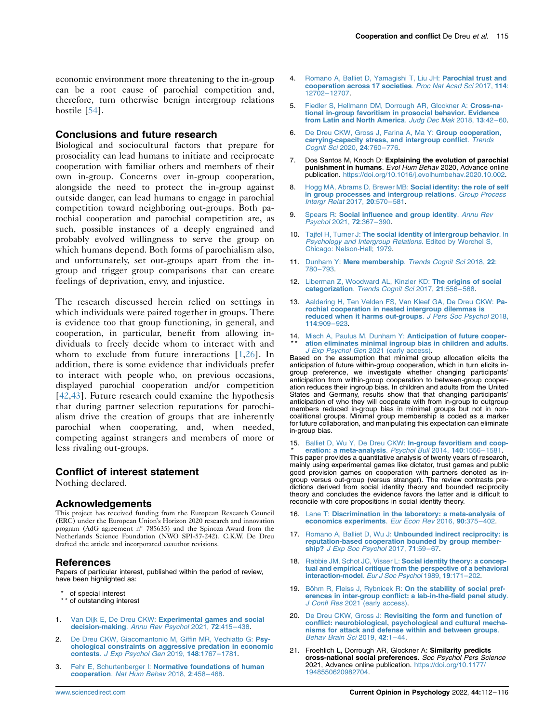economic environment more threatening to the in-group can be a root cause of parochial competition and, therefore, turn otherwise benign intergroup relations hostile [[54](#page-4-23)].

## Conclusions and future research

Biological and sociocultural factors that prepare for prosociality can lead humans to initiate and reciprocate cooperation with familiar others and members of their own in-group. Concerns over in-group cooperation, alongside the need to protect the in-group against outside danger, can lead humans to engage in parochial competition toward neighboring out-groups. Both parochial cooperation and parochial competition are, as such, possible instances of a deeply engrained and probably evolved willingness to serve the group on which humans depend. Both forms of parochialism also, and unfortunately, set out-groups apart from the ingroup and trigger group comparisons that can create feelings of deprivation, envy, and injustice.

The research discussed herein relied on settings in which individuals were paired together in groups. There is evidence too that group functioning, in general, and cooperation, in particular, benefit from allowing individuals to freely decide whom to interact with and whom to exclude from future interactions [[1,](#page-3-0)[26\]](#page-4-2). In addition, there is some evidence that individuals prefer to interact with people who, on previous occasions, displayed parochial cooperation and/or competition [\[42,](#page-4-11)[43](#page-4-12)]. Future research could examine the hypothesis that during partner selection reputations for parochialism drive the creation of groups that are inherently parochial when cooperating, and, when needed, competing against strangers and members of more or less rivaling out-groups.

#### Conflict of interest statement

Nothing declared.

#### **Acknowledgements**

This project has received funding from the European Research Council (ERC) under the European Union's Horizon 2020 research and innovation program (AdG agreement n° 785635) and the Spinoza Award from the Netherlands Science Foundation (NWO SPI-57-242). C.K.W. De Dreu drafted the article and incorporated coauthor revisions.

#### References

Papers of particular interest, published within the period of review, have been highlighted as:

- of special interest
- \*\* of outstanding interest
- <span id="page-3-0"></span>1. Van Dijk E, De Dreu CKW: [Experimental games and social](http://refhub.elsevier.com/S2352-250X(21)00171-8/sref1) decision-making. [Annu Rev Psychol](http://refhub.elsevier.com/S2352-250X(21)00171-8/sref1) 2021, 72:415-438.
- 2. [De Dreu CKW, Giacomantonio M, Giffin MR, Vechiatto G:](http://refhub.elsevier.com/S2352-250X(21)00171-8/sref2) Psy[chological constraints on aggressive predation in economic](http://refhub.elsevier.com/S2352-250X(21)00171-8/sref2)<br>contests. [J Exp Psychol Gen](http://refhub.elsevier.com/S2352-250X(21)00171-8/sref2) 2019, 148:1767-1781.
- 3. Fehr E, Schurtenberger I: [Normative foundations of human](http://refhub.elsevier.com/S2352-250X(21)00171-8/sref3) cooperation. [Nat Hum Behav](http://refhub.elsevier.com/S2352-250X(21)00171-8/sref3) 2018, 2:458–468.
- <span id="page-3-1"></span>4. [Romano A, Balliet D, Yamagishi T, Liu JH:](http://refhub.elsevier.com/S2352-250X(21)00171-8/sref4) **Parochial trust and [cooperation across 17 societies](http://refhub.elsevier.com/S2352-250X(21)00171-8/sref4)**. *Proc Nat Acad Sci 2017*, 114: 12702–[12707.](http://refhub.elsevier.com/S2352-250X(21)00171-8/sref4)
- <span id="page-3-2"></span>5. [Fiedler S, Hellmann DM, Dorrough AR, Glockner A:](http://refhub.elsevier.com/S2352-250X(21)00171-8/sref5) Cross-na[tional in-group favoritism in prosocial behavior. Evidence](http://refhub.elsevier.com/S2352-250X(21)00171-8/sref5) [from Latin and North America](http://refhub.elsevier.com/S2352-250X(21)00171-8/sref5). Judg Dec Mak 2018, 13:42–60.
- <span id="page-3-3"></span>6. [De Dreu CKW, Gross J, Farina A, Ma Y:](http://refhub.elsevier.com/S2352-250X(21)00171-8/sref6) Group cooperation, [carrying-capacity stress, and intergroup conflict](http://refhub.elsevier.com/S2352-250X(21)00171-8/sref6). Trends [Cognit Sci](http://refhub.elsevier.com/S2352-250X(21)00171-8/sref6) 2020, 24:760–776.
- <span id="page-3-4"></span>7. Dos Santos M, Knoch D: Explaining the evolution of parochial punishment in humans. Evol Hum Behav 2020, Advance online publication. <https://doi.org/10.1016/j.evolhumbehav.2020.10.002>.
- <span id="page-3-5"></span>8. [Hogg MA, Abrams D, Brewer MB:](http://refhub.elsevier.com/S2352-250X(21)00171-8/sref8) Social identity: the role of self [in group processes and intergroup relations](http://refhub.elsevier.com/S2352-250X(21)00171-8/sref8). Group Process [Intergr Relat](http://refhub.elsevier.com/S2352-250X(21)00171-8/sref8) 2017, 20:570–581.
- 9. Spears R: [Social influence and group identity](http://refhub.elsevier.com/S2352-250X(21)00171-8/sref9). Annu Rev [Psychol](http://refhub.elsevier.com/S2352-250X(21)00171-8/sref9) 2021, 72:367–390.
- <span id="page-3-8"></span>10. Tajfel H, Turner J: [The social identity of intergroup behavior](http://refhub.elsevier.com/S2352-250X(21)00171-8/sref10). In [Psychology and Intergroup Relations](http://refhub.elsevier.com/S2352-250X(21)00171-8/sref10). Edited by Worchel S, [Chicago: Nelson-Hall; 1979](http://refhub.elsevier.com/S2352-250X(21)00171-8/sref10).
- <span id="page-3-6"></span>11. Dunham Y: [Mere membership](http://refhub.elsevier.com/S2352-250X(21)00171-8/sref11). Trends Cognit Sci 2018, 22: 780–[793.](http://refhub.elsevier.com/S2352-250X(21)00171-8/sref11)
- <span id="page-3-7"></span>12. [Liberman Z, Woodward AL, Kinzler KD:](http://refhub.elsevier.com/S2352-250X(21)00171-8/sref12) The origins of social categorization. [Trends Cognit Sci](http://refhub.elsevier.com/S2352-250X(21)00171-8/sref12) 2017, 21:556–568.
- <span id="page-3-9"></span>13. [Aaldering H, Ten Velden FS, Van Kleef GA, De Dreu CKW:](http://refhub.elsevier.com/S2352-250X(21)00171-8/sref13) Pa[rochial cooperation in nested intergroup dilemmas is](http://refhub.elsevier.com/S2352-250X(21)00171-8/sref13) [reduced when it harms out-groups](http://refhub.elsevier.com/S2352-250X(21)00171-8/sref13). J Pers Soc Psychol 2018, 114[:909](http://refhub.elsevier.com/S2352-250X(21)00171-8/sref13)–923.
- <span id="page-3-10"></span>14. [Misch A, Paulus M, Dunham Y:](http://refhub.elsevier.com/S2352-250X(21)00171-8/sref14) Anticipation of future cooper-<br>\*\* ation eliminates minimal ingroup bias in children and adults [ation eliminates minimal ingroup bias in children and adults](http://refhub.elsevier.com/S2352-250X(21)00171-8/sref14). J Exp Psychol Gen [2021 \(early access\)](http://refhub.elsevier.com/S2352-250X(21)00171-8/sref14).

Based on the assumption that minimal group allocation elicits the anticipation of future within-group cooperation, which in turn elicits ingroup preference, we investigate whether changing participants' anticipation from within-group cooperation to between-group cooperation reduces their ingroup bias. In children and adults from the United States and Germany, results show that that changing participants' anticipation of who they will cooperate with from in-group to outgroup members reduced in-group bias in minimal groups but not in noncoalitional groups. Minimal group membership is coded as a marker for future collaboration, and manipulating this expectation can eliminate in-group bias.

<span id="page-3-11"></span>15 . [Balliet D, Wu Y, De Dreu CKW:](http://refhub.elsevier.com/S2352-250X(21)00171-8/sref15) In-group favoritism and coop-\* [eration: a meta-analysis](http://refhub.elsevier.com/S2352-250X(21)00171-8/sref15). Psychol Bull 2014, 140:1556–1581. This paper provides a quantitative analysis of twenty years of research, mainly using experimental games like dictator, trust games and public good provision games on cooperation with partners denoted as ingroup versus out-group (versus stranger). The review contrasts predictions derived from social identity theory and bounded reciprocity theory and concludes the evidence favors the latter and is difficult to reconcile with core propositions in social identity theory.

- <span id="page-3-12"></span>16. Lane T: [Discrimination in the laboratory: a meta-analysis of](http://refhub.elsevier.com/S2352-250X(21)00171-8/sref16) [economics experiments](http://refhub.elsevier.com/S2352-250X(21)00171-8/sref16). Eur Econ Rev 2016, 90:375–402.
- <span id="page-3-13"></span>17. Romano A, Balliet D, Wu J: [Unbounded indirect reciprocity: is](http://refhub.elsevier.com/S2352-250X(21)00171-8/sref17) [reputation-based cooperation bounded by group member-](http://refhub.elsevier.com/S2352-250X(21)00171-8/sref17)ship? [J Exp Soc Psychol](http://refhub.elsevier.com/S2352-250X(21)00171-8/sref17) 2017, **71**:59-67.
- <span id="page-3-14"></span>18. Rabbie JM, Schot JC, Visser L: [Social identity theory: a concep](http://refhub.elsevier.com/S2352-250X(21)00171-8/sref18)[tual and empirical critique from the perspective of a behavioral](http://refhub.elsevier.com/S2352-250X(21)00171-8/sref18) [interaction-model](http://refhub.elsevier.com/S2352-250X(21)00171-8/sref18). Eur J Soc Psychol 1989, 19:171-202.
- 19. Böhm R, Fleiss J, Rybnicek R: [On the stability of social pref-](http://refhub.elsevier.com/S2352-250X(21)00171-8/sref19)[erences in inter-group conflict: a lab-in-the-field panel study](http://refhub.elsevier.com/S2352-250X(21)00171-8/sref19). J Confl Res [2021 \(early access\)](http://refhub.elsevier.com/S2352-250X(21)00171-8/sref19).
- <span id="page-3-15"></span>20. De Dreu CKW, Gross J: [Revisiting the form and function of](http://refhub.elsevier.com/S2352-250X(21)00171-8/sref20) [conflict: neurobiological, psychological and cultural mecha](http://refhub.elsevier.com/S2352-250X(21)00171-8/sref20)[nisms for attack and defense within and between groups](http://refhub.elsevier.com/S2352-250X(21)00171-8/sref20). [Behav Brain Sci](http://refhub.elsevier.com/S2352-250X(21)00171-8/sref20) 2019, 42:1–44.
- 21. Froehlich L, Dorrough AR, Glockner A: Similarity predicts cross-national social preferences. Soc Psychol Pers Science 2021, Advance online publication. [https://doi.org/10.1177/](https://doi.org/10.1177/1948550620982704) [1948550620982704](https://doi.org/10.1177/1948550620982704).